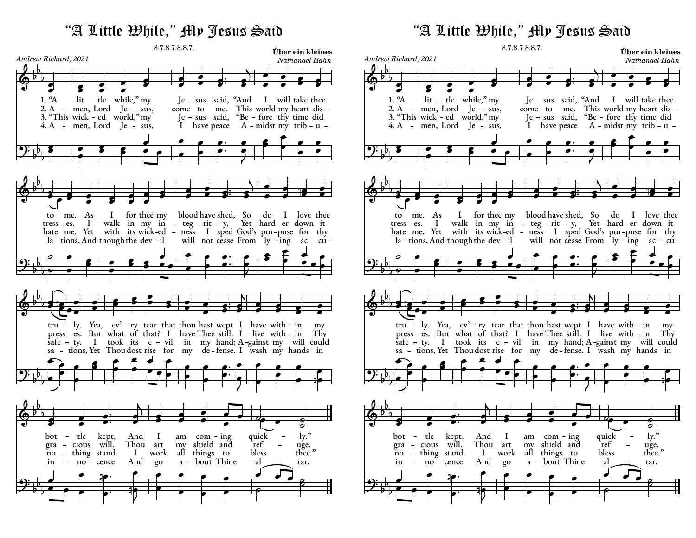## 8.7.8.7.8.8.7. "A Little While," My Jesus Said



8.7.8.7.8.8.7. "A Little While," My Jesus Said